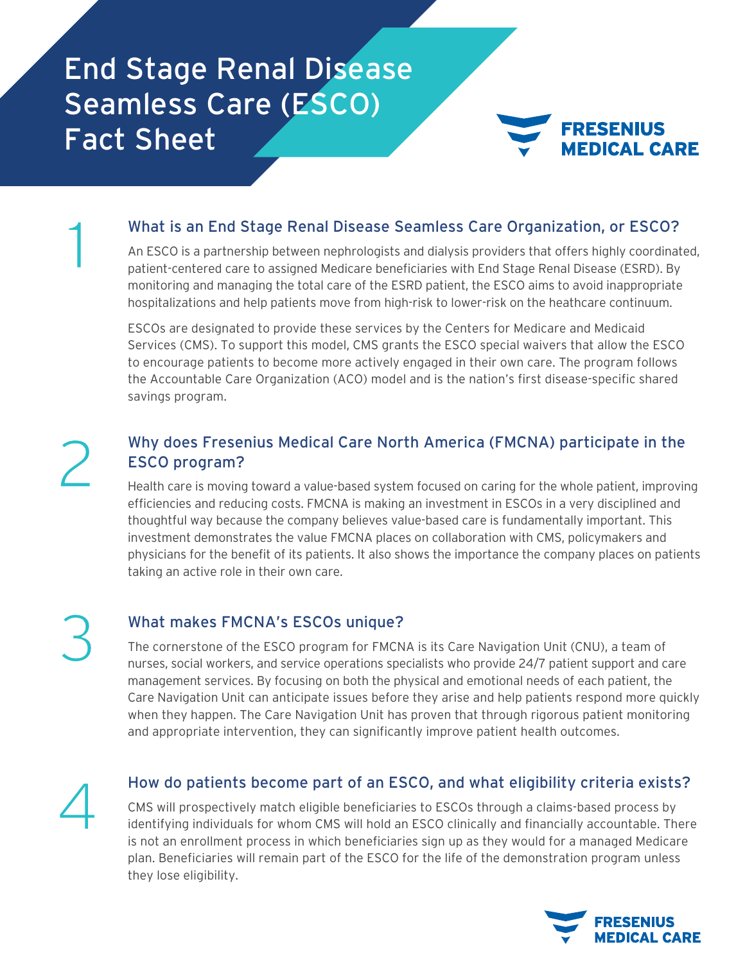## End Stage Renal Disease Seamless Care (ESCO) Fact Sheet



#### What is an End Stage Renal Disease Seamless Care Organization, or ESCO?

An ESCO is a partnership between nephrologists and dialysis providers that offers highly coordinated, patient-centered care to assigned Medicare beneficiaries with End Stage Renal Disease (ESRD). By monitoring and managing the total care of the ESRD patient, the ESCO aims to avoid inappropriate hospitalizations and help patients move from high-risk to lower-risk on the heathcare continuum.

ESCOs are designated to provide these services by the Centers for Medicare and Medicaid Services (CMS). To support this model, CMS grants the ESCO special waivers that allow the ESCO to encourage patients to become more actively engaged in their own care. The program follows the Accountable Care Organization (ACO) model and is the nation's first disease-specific shared savings program.

# 2

1

### Why does Fresenius Medical Care North America (FMCNA) participate in the ESCO program?

Health care is moving toward a value-based system focused on caring for the whole patient, improving efficiencies and reducing costs. FMCNA is making an investment in ESCOs in a very disciplined and thoughtful way because the company believes value-based care is fundamentally important. This investment demonstrates the value FMCNA places on collaboration with CMS, policymakers and physicians for the benefit of its patients. It also shows the importance the company places on patients taking an active role in their own care.

3

### What makes FMCNA's ESCOs unique?

The cornerstone of the ESCO program for FMCNA is its Care Navigation Unit (CNU), a team of nurses, social workers, and service operations specialists who provide 24/7 patient support and care management services. By focusing on both the physical and emotional needs of each patient, the Care Navigation Unit can anticipate issues before they arise and help patients respond more quickly when they happen. The Care Navigation Unit has proven that through rigorous patient monitoring and appropriate intervention, they can significantly improve patient health outcomes.

4

#### How do patients become part of an ESCO, and what eligibility criteria exists?

CMS will prospectively match eligible beneficiaries to ESCOs through a claims-based process by identifying individuals for whom CMS will hold an ESCO clinically and financially accountable. There is not an enrollment process in which beneficiaries sign up as they would for a managed Medicare plan. Beneficiaries will remain part of the ESCO for the life of the demonstration program unless they lose eligibility.